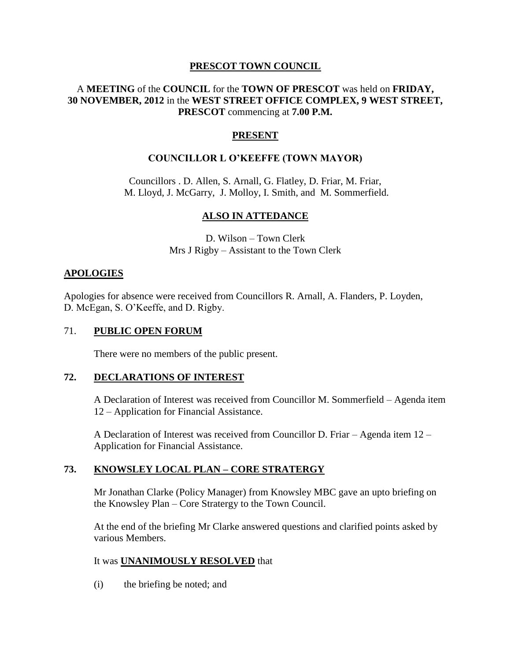### **PRESCOT TOWN COUNCIL**

### A **MEETING** of the **COUNCIL** for the **TOWN OF PRESCOT** was held on **FRIDAY, 30 NOVEMBER, 2012** in the **WEST STREET OFFICE COMPLEX, 9 WEST STREET, PRESCOT** commencing at **7.00 P.M.**

## **PRESENT**

### **COUNCILLOR L O'KEEFFE (TOWN MAYOR)**

Councillors . D. Allen, S. Arnall, G. Flatley, D. Friar, M. Friar, M. Lloyd, J. McGarry, J. Molloy, I. Smith, and M. Sommerfield.

### **ALSO IN ATTEDANCE**

D. Wilson – Town Clerk Mrs J Rigby – Assistant to the Town Clerk

#### **APOLOGIES**

Apologies for absence were received from Councillors R. Arnall, A. Flanders, P. Loyden, D. McEgan, S. O'Keeffe, and D. Rigby.

### 71. **PUBLIC OPEN FORUM**

There were no members of the public present.

#### **72. DECLARATIONS OF INTEREST**

A Declaration of Interest was received from Councillor M. Sommerfield – Agenda item 12 – Application for Financial Assistance.

A Declaration of Interest was received from Councillor D. Friar – Agenda item 12 – Application for Financial Assistance.

### **73. KNOWSLEY LOCAL PLAN – CORE STRATERGY**

Mr Jonathan Clarke (Policy Manager) from Knowsley MBC gave an upto briefing on the Knowsley Plan – Core Stratergy to the Town Council.

At the end of the briefing Mr Clarke answered questions and clarified points asked by various Members.

### It was **UNANIMOUSLY RESOLVED** that

(i) the briefing be noted; and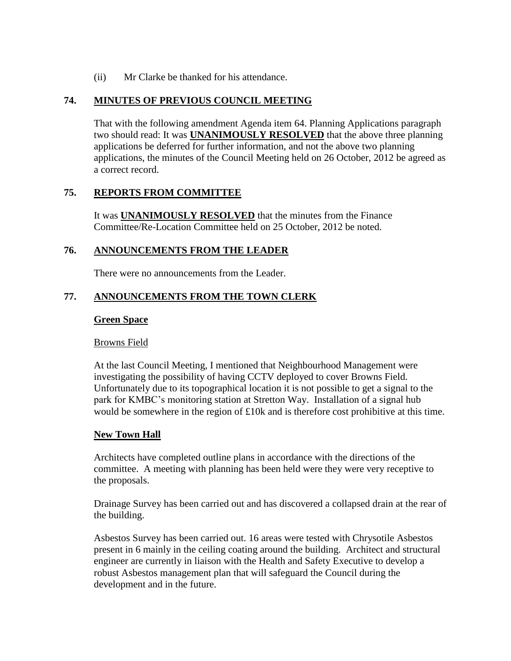(ii) Mr Clarke be thanked for his attendance.

## **74. MINUTES OF PREVIOUS COUNCIL MEETING**

That with the following amendment Agenda item 64. Planning Applications paragraph two should read: It was **UNANIMOUSLY RESOLVED** that the above three planning applications be deferred for further information, and not the above two planning applications, the minutes of the Council Meeting held on 26 October, 2012 be agreed as a correct record.

### **75. REPORTS FROM COMMITTEE**

It was **UNANIMOUSLY RESOLVED** that the minutes from the Finance Committee/Re-Location Committee held on 25 October, 2012 be noted.

### **76. ANNOUNCEMENTS FROM THE LEADER**

There were no announcements from the Leader.

### **77. ANNOUNCEMENTS FROM THE TOWN CLERK**

#### **Green Space**

#### Browns Field

At the last Council Meeting, I mentioned that Neighbourhood Management were investigating the possibility of having CCTV deployed to cover Browns Field. Unfortunately due to its topographical location it is not possible to get a signal to the park for KMBC's monitoring station at Stretton Way. Installation of a signal hub would be somewhere in the region of £10k and is therefore cost prohibitive at this time.

### **New Town Hall**

Architects have completed outline plans in accordance with the directions of the committee. A meeting with planning has been held were they were very receptive to the proposals.

Drainage Survey has been carried out and has discovered a collapsed drain at the rear of the building.

Asbestos Survey has been carried out. 16 areas were tested with Chrysotile Asbestos present in 6 mainly in the ceiling coating around the building. Architect and structural engineer are currently in liaison with the Health and Safety Executive to develop a robust Asbestos management plan that will safeguard the Council during the development and in the future.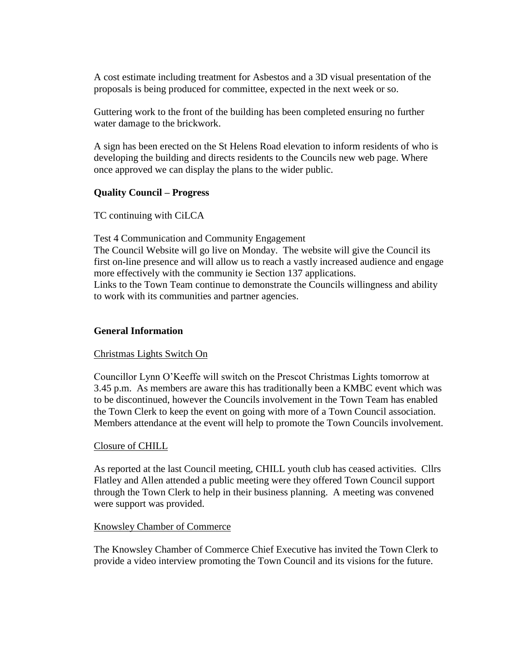A cost estimate including treatment for Asbestos and a 3D visual presentation of the proposals is being produced for committee, expected in the next week or so.

Guttering work to the front of the building has been completed ensuring no further water damage to the brickwork.

A sign has been erected on the St Helens Road elevation to inform residents of who is developing the building and directs residents to the Councils new web page. Where once approved we can display the plans to the wider public.

### **Quality Council – Progress**

TC continuing with CiLCA

Test 4 Communication and Community Engagement

The Council Website will go live on Monday. The website will give the Council its first on-line presence and will allow us to reach a vastly increased audience and engage more effectively with the community ie Section 137 applications. Links to the Town Team continue to demonstrate the Councils willingness and ability to work with its communities and partner agencies.

#### **General Information**

#### Christmas Lights Switch On

Councillor Lynn O'Keeffe will switch on the Prescot Christmas Lights tomorrow at 3.45 p.m. As members are aware this has traditionally been a KMBC event which was to be discontinued, however the Councils involvement in the Town Team has enabled the Town Clerk to keep the event on going with more of a Town Council association. Members attendance at the event will help to promote the Town Councils involvement.

#### Closure of CHILL

As reported at the last Council meeting, CHILL youth club has ceased activities. Cllrs Flatley and Allen attended a public meeting were they offered Town Council support through the Town Clerk to help in their business planning. A meeting was convened were support was provided.

#### Knowsley Chamber of Commerce

The Knowsley Chamber of Commerce Chief Executive has invited the Town Clerk to provide a video interview promoting the Town Council and its visions for the future.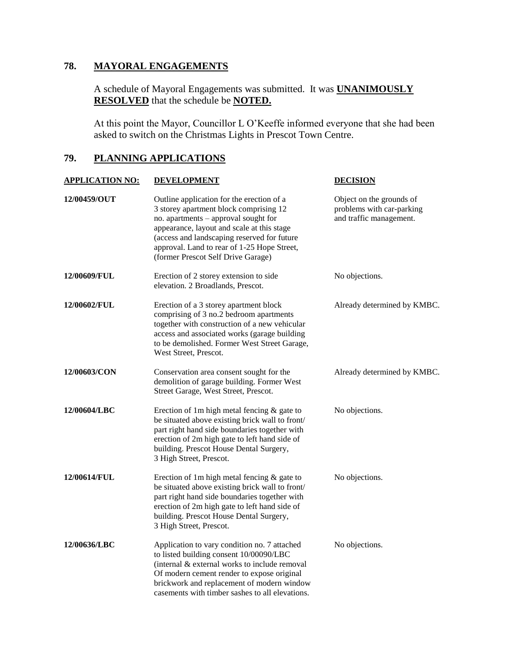# **78. MAYORAL ENGAGEMENTS**

A schedule of Mayoral Engagements was submitted. It was **UNANIMOUSLY RESOLVED** that the schedule be **NOTED.**

At this point the Mayor, Councillor L O'Keeffe informed everyone that she had been asked to switch on the Christmas Lights in Prescot Town Centre.

# **79. PLANNING APPLICATIONS**

| <b>APPLICATION NO:</b> | <b>DEVELOPMENT</b>                                                                                                                                                                                                                                                                                            | <b>DECISION</b>                                                                  |
|------------------------|---------------------------------------------------------------------------------------------------------------------------------------------------------------------------------------------------------------------------------------------------------------------------------------------------------------|----------------------------------------------------------------------------------|
| 12/00459/OUT           | Outline application for the erection of a<br>3 storey apartment block comprising 12<br>no. apartments - approval sought for<br>appearance, layout and scale at this stage<br>(access and landscaping reserved for future<br>approval. Land to rear of 1-25 Hope Street,<br>(former Prescot Self Drive Garage) | Object on the grounds of<br>problems with car-parking<br>and traffic management. |
| 12/00609/FUL           | Erection of 2 storey extension to side<br>elevation. 2 Broadlands, Prescot.                                                                                                                                                                                                                                   | No objections.                                                                   |
| 12/00602/FUL           | Erection of a 3 storey apartment block<br>comprising of 3 no.2 bedroom apartments<br>together with construction of a new vehicular<br>access and associated works (garage building<br>to be demolished. Former West Street Garage,<br>West Street, Prescot.                                                   | Already determined by KMBC.                                                      |
| 12/00603/CON           | Conservation area consent sought for the<br>demolition of garage building. Former West<br>Street Garage, West Street, Prescot.                                                                                                                                                                                | Already determined by KMBC.                                                      |
| 12/00604/LBC           | Erection of 1m high metal fencing $\&$ gate to<br>be situated above existing brick wall to front/<br>part right hand side boundaries together with<br>erection of 2m high gate to left hand side of<br>building. Prescot House Dental Surgery,<br>3 High Street, Prescot.                                     | No objections.                                                                   |
| 12/00614/FUL           | Erection of 1m high metal fencing $\&$ gate to<br>be situated above existing brick wall to front/<br>part right hand side boundaries together with<br>erection of 2m high gate to left hand side of<br>building. Prescot House Dental Surgery,<br>3 High Street, Prescot.                                     | No objections.                                                                   |
| 12/00636/LBC           | Application to vary condition no. 7 attached<br>to listed building consent 10/00090/LBC<br>(internal & external works to include removal<br>Of modern cement render to expose original<br>brickwork and replacement of modern window<br>casements with timber sashes to all elevations.                       | No objections.                                                                   |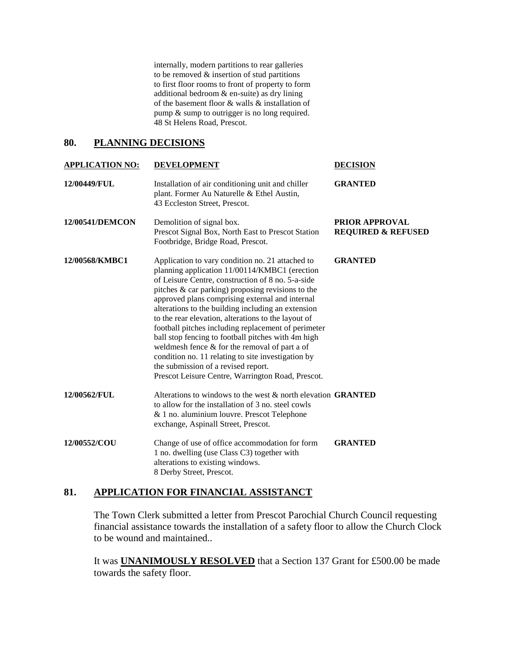internally, modern partitions to rear galleries to be removed & insertion of stud partitions to first floor rooms to front of property to form additional bedroom & en-suite) as dry lining of the basement floor & walls & installation of pump & sump to outrigger is no long required. 48 St Helens Road, Prescot.

#### **80. PLANNING DECISIONS**

| <b>APPLICATION NO:</b> | <b>DEVELOPMENT</b>                                                                                                                                                                                                                                                                                                                                                                                                                                                                                                                                                                                                                                                                          | <b>DECISION</b>                                 |
|------------------------|---------------------------------------------------------------------------------------------------------------------------------------------------------------------------------------------------------------------------------------------------------------------------------------------------------------------------------------------------------------------------------------------------------------------------------------------------------------------------------------------------------------------------------------------------------------------------------------------------------------------------------------------------------------------------------------------|-------------------------------------------------|
| 12/00449/FUL           | Installation of air conditioning unit and chiller<br>plant. Former Au Naturelle & Ethel Austin,<br>43 Eccleston Street, Prescot.                                                                                                                                                                                                                                                                                                                                                                                                                                                                                                                                                            | <b>GRANTED</b>                                  |
| 12/00541/DEMCON        | Demolition of signal box.<br>Prescot Signal Box, North East to Prescot Station<br>Footbridge, Bridge Road, Prescot.                                                                                                                                                                                                                                                                                                                                                                                                                                                                                                                                                                         | PRIOR APPROVAL<br><b>REQUIRED &amp; REFUSED</b> |
| 12/00568/KMBC1         | Application to vary condition no. 21 attached to<br>planning application 11/00114/KMBC1 (erection<br>of Leisure Centre, construction of 8 no. 5-a-side<br>pitches & car parking) proposing revisions to the<br>approved plans comprising external and internal<br>alterations to the building including an extension<br>to the rear elevation, alterations to the layout of<br>football pitches including replacement of perimeter<br>ball stop fencing to football pitches with 4m high<br>weldmesh fence & for the removal of part a of<br>condition no. 11 relating to site investigation by<br>the submission of a revised report.<br>Prescot Leisure Centre, Warrington Road, Prescot. | <b>GRANTED</b>                                  |
| 12/00562/FUL           | Alterations to windows to the west $\&$ north elevation <b>GRANTED</b><br>to allow for the installation of 3 no. steel cowls<br>& 1 no. aluminium louvre. Prescot Telephone<br>exchange, Aspinall Street, Prescot.                                                                                                                                                                                                                                                                                                                                                                                                                                                                          |                                                 |
| 12/00552/COU           | Change of use of office accommodation for form<br>1 no. dwelling (use Class C3) together with<br>alterations to existing windows.<br>8 Derby Street, Prescot.                                                                                                                                                                                                                                                                                                                                                                                                                                                                                                                               | <b>GRANTED</b>                                  |

### **81. APPLICATION FOR FINANCIAL ASSISTANCT**

The Town Clerk submitted a letter from Prescot Parochial Church Council requesting financial assistance towards the installation of a safety floor to allow the Church Clock to be wound and maintained..

It was **UNANIMOUSLY RESOLVED** that a Section 137 Grant for £500.00 be made towards the safety floor.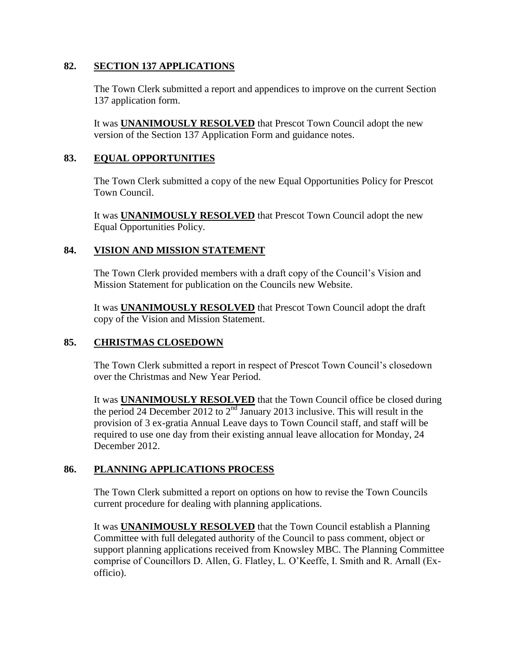### **82. SECTION 137 APPLICATIONS**

The Town Clerk submitted a report and appendices to improve on the current Section 137 application form.

It was **UNANIMOUSLY RESOLVED** that Prescot Town Council adopt the new version of the Section 137 Application Form and guidance notes.

## **83. EQUAL OPPORTUNITIES**

The Town Clerk submitted a copy of the new Equal Opportunities Policy for Prescot Town Council.

It was **UNANIMOUSLY RESOLVED** that Prescot Town Council adopt the new Equal Opportunities Policy.

### **84. VISION AND MISSION STATEMENT**

The Town Clerk provided members with a draft copy of the Council's Vision and Mission Statement for publication on the Councils new Website.

It was **UNANIMOUSLY RESOLVED** that Prescot Town Council adopt the draft copy of the Vision and Mission Statement.

# **85. CHRISTMAS CLOSEDOWN**

The Town Clerk submitted a report in respect of Prescot Town Council's closedown over the Christmas and New Year Period.

It was **UNANIMOUSLY RESOLVED** that the Town Council office be closed during the period 24 December 2012 to  $2<sup>nd</sup>$  January 2013 inclusive. This will result in the provision of 3 ex-gratia Annual Leave days to Town Council staff, and staff will be required to use one day from their existing annual leave allocation for Monday, 24 December 2012.

# **86. PLANNING APPLICATIONS PROCESS**

The Town Clerk submitted a report on options on how to revise the Town Councils current procedure for dealing with planning applications.

It was **UNANIMOUSLY RESOLVED** that the Town Council establish a Planning Committee with full delegated authority of the Council to pass comment, object or support planning applications received from Knowsley MBC. The Planning Committee comprise of Councillors D. Allen, G. Flatley, L. O'Keeffe, I. Smith and R. Arnall (Exofficio).